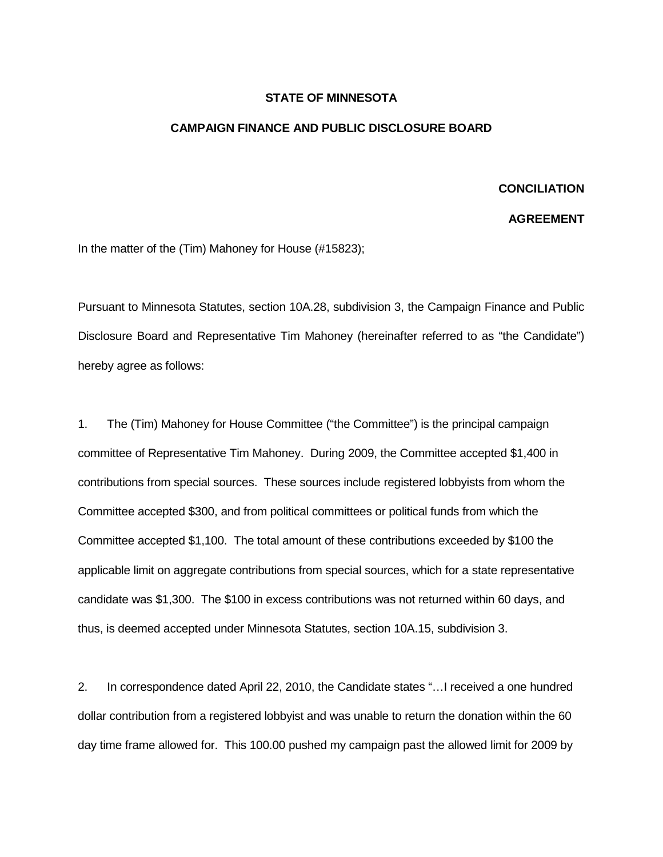## **STATE OF MINNESOTA**

## **CAMPAIGN FINANCE AND PUBLIC DISCLOSURE BOARD**

## **CONCILIATION**

## **AGREEMENT**

In the matter of the (Tim) Mahoney for House (#15823);

Pursuant to Minnesota Statutes, section 10A.28, subdivision 3, the Campaign Finance and Public Disclosure Board and Representative Tim Mahoney (hereinafter referred to as "the Candidate") hereby agree as follows:

1. The (Tim) Mahoney for House Committee ("the Committee") is the principal campaign committee of Representative Tim Mahoney. During 2009, the Committee accepted \$1,400 in contributions from special sources. These sources include registered lobbyists from whom the Committee accepted \$300, and from political committees or political funds from which the Committee accepted \$1,100. The total amount of these contributions exceeded by \$100 the applicable limit on aggregate contributions from special sources, which for a state representative candidate was \$1,300. The \$100 in excess contributions was not returned within 60 days, and thus, is deemed accepted under Minnesota Statutes, section 10A.15, subdivision 3.

2. In correspondence dated April 22, 2010, the Candidate states "…I received a one hundred dollar contribution from a registered lobbyist and was unable to return the donation within the 60 day time frame allowed for. This 100.00 pushed my campaign past the allowed limit for 2009 by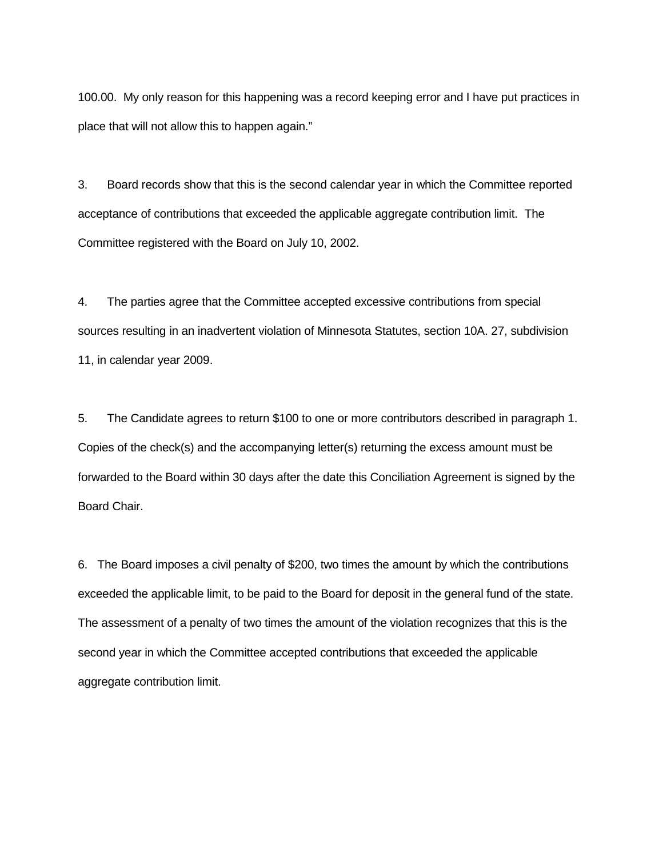100.00. My only reason for this happening was a record keeping error and I have put practices in place that will not allow this to happen again."

3. Board records show that this is the second calendar year in which the Committee reported acceptance of contributions that exceeded the applicable aggregate contribution limit. The Committee registered with the Board on July 10, 2002.

4. The parties agree that the Committee accepted excessive contributions from special sources resulting in an inadvertent violation of Minnesota Statutes, section 10A. 27, subdivision 11, in calendar year 2009.

5. The Candidate agrees to return \$100 to one or more contributors described in paragraph 1. Copies of the check(s) and the accompanying letter(s) returning the excess amount must be forwarded to the Board within 30 days after the date this Conciliation Agreement is signed by the Board Chair.

6. The Board imposes a civil penalty of \$200, two times the amount by which the contributions exceeded the applicable limit, to be paid to the Board for deposit in the general fund of the state. The assessment of a penalty of two times the amount of the violation recognizes that this is the second year in which the Committee accepted contributions that exceeded the applicable aggregate contribution limit.